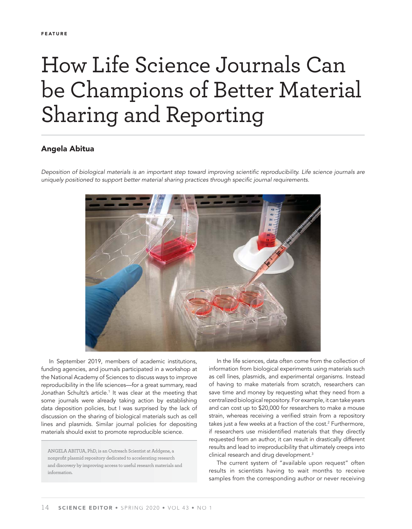# How Life Science Journals Can be Champions of Better Material Sharing and Reporting

# **Angela Abitua**

Deposition of biological materials is an important step toward improving scientific reproducibility. Life science journals are uniquely positioned to support better material sharing practices through specific journal requirements.



In September 2019, members of academic institutions, funding agencies, and journals participated in a workshop at the National Academy of Sciences to discuss ways to improve reproducibility in the life sciences—for a great summary, read Jonathan Schultz's article.<sup>1</sup> It was clear at the meeting that some journals were already taking action by establishing data deposition policies, but I was surprised by the lack of discussion on the sharing of biological materials such as cell lines and plasmids. Similar journal policies for depositing materials should exist to promote reproducible science.

 ANGELA ABITUA, PhD, is an Outreach Scientist at Addgene, a nonprofit plasmid repository dedicated to accelerating research and discovery by improving access to useful research materials and information.

In the life sciences, data often come from the collection of information from biological experiments using materials such as cell lines, plasmids, and experimental organisms. Instead of having to make materials from scratch, researchers can save time and money by requesting what they need from a centralized biological repository. For example, it can take years and can cost up to \$20,000 for researchers to make a mouse strain, whereas receiving a verified strain from a repository takes just a few weeks at a fraction of the cost.<sup>2</sup> Furthermore, if researchers use misidentified materials that they directly requested from an author, it can result in drastically different results and lead to irreproducibility that ultimately creeps into clinical research and drug development.3

The current system of "available upon request" often results in scientists having to wait months to receive samples from the corresponding author or never receiving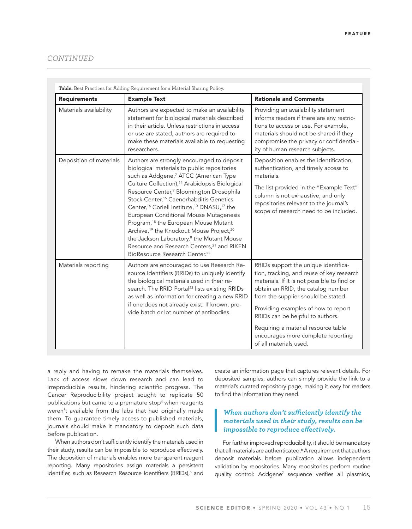# *CONTINUED NTINUED*

| Table. Best Practices for Adding Requirement for a Material Sharing Policy. |                                                                                                                                                                                                                                                                                                                                                                                                                                                                                                                                                                                                                                                                                                                                                  |                                                                                                                                                                                                                                                                                                                                                                                                 |
|-----------------------------------------------------------------------------|--------------------------------------------------------------------------------------------------------------------------------------------------------------------------------------------------------------------------------------------------------------------------------------------------------------------------------------------------------------------------------------------------------------------------------------------------------------------------------------------------------------------------------------------------------------------------------------------------------------------------------------------------------------------------------------------------------------------------------------------------|-------------------------------------------------------------------------------------------------------------------------------------------------------------------------------------------------------------------------------------------------------------------------------------------------------------------------------------------------------------------------------------------------|
| <b>Requirements</b>                                                         | <b>Example Text</b>                                                                                                                                                                                                                                                                                                                                                                                                                                                                                                                                                                                                                                                                                                                              | <b>Rationale and Comments</b>                                                                                                                                                                                                                                                                                                                                                                   |
| Materials availability                                                      | Authors are expected to make an availability<br>statement for biological materials described<br>in their article. Unless restrictions in access<br>or use are stated, authors are required to<br>make these materials available to requesting<br>researchers.                                                                                                                                                                                                                                                                                                                                                                                                                                                                                    | Providing an availability statement<br>informs readers if there are any restric-<br>tions to access or use. For example,<br>materials should not be shared if they<br>compromise the privacy or confidential-<br>ity of human research subjects.                                                                                                                                                |
| Deposition of materials                                                     | Authors are strongly encouraged to deposit<br>biological materials to public repositories<br>such as Addgene, <sup>7</sup> ATCC (American Type<br>Culture Collection), <sup>14</sup> Arabidopsis Biological<br>Resource Center, <sup>9</sup> Bloomington Drosophila<br>Stock Center, <sup>15</sup> Caenorhabditis Genetics<br>Center, <sup>16</sup> Coriell Institute, <sup>10</sup> DNASU, <sup>17</sup> the<br>European Conditional Mouse Mutagenesis<br>Program, <sup>18</sup> the European Mouse Mutant<br>Archive, <sup>19</sup> the Knockout Mouse Project, <sup>20</sup><br>the Jackson Laboratory, <sup>8</sup> the Mutant Mouse<br>Resource and Research Centers, <sup>21</sup> and RIKEN<br>BioResource Research Center. <sup>22</sup> | Deposition enables the identification,<br>authentication, and timely access to<br>materials.<br>The list provided in the "Example Text"<br>column is not exhaustive, and only<br>repositories relevant to the journal's<br>scope of research need to be included.                                                                                                                               |
| Materials reporting                                                         | Authors are encouraged to use Research Re-<br>source Identifiers (RRIDs) to uniquely identify<br>the biological materials used in their re-<br>search. The RRID Portal <sup>23</sup> lists existing RRIDs<br>as well as information for creating a new RRID<br>if one does not already exist. If known, pro-<br>vide batch or lot number of antibodies.                                                                                                                                                                                                                                                                                                                                                                                          | RRIDs support the unique identifica-<br>tion, tracking, and reuse of key research<br>materials. If it is not possible to find or<br>obtain an RRID, the catalog number<br>from the supplier should be stated.<br>Providing examples of how to report<br>RRIDs can be helpful to authors.<br>Requiring a material resource table<br>encourages more complete reporting<br>of all materials used. |

a reply and having to remake the materials themselves. Lack of access slows down research and can lead to irreproducible results, hindering scientific progress. The Cancer Reproducibility project sought to replicate 50 publications but came to a premature stop<sup>4</sup> when reagents weren't available from the labs that had originally made them. To guarantee timely access to published materials, journals should make it mandatory to deposit such data before publication.

When authors don't sufficiently identify the materials used in their study, results can be impossible to reproduce effectively. The deposition of materials enables more transparent reagent reporting. Many repositories assign materials a persistent identifier, such as Research Resource Identifiers (RRIDs),<sup>5</sup> and create an information page that captures relevant details. For deposited samples, authors can simply provide the link to a material's curated repository page, making it easy for readers to find the information they need.

# *When authors don't sufficiently identify the materials used in their study, results can be impossible to reproduce effectively.*

For further improved reproducibility, it should be mandatory that all materials are authenticated.<sup>6</sup> A requirement that authors deposit materials before publication allows independent validation by repositories. Many repositories perform routine quality control: Addgene<sup>7</sup> sequence verifies all plasmids,